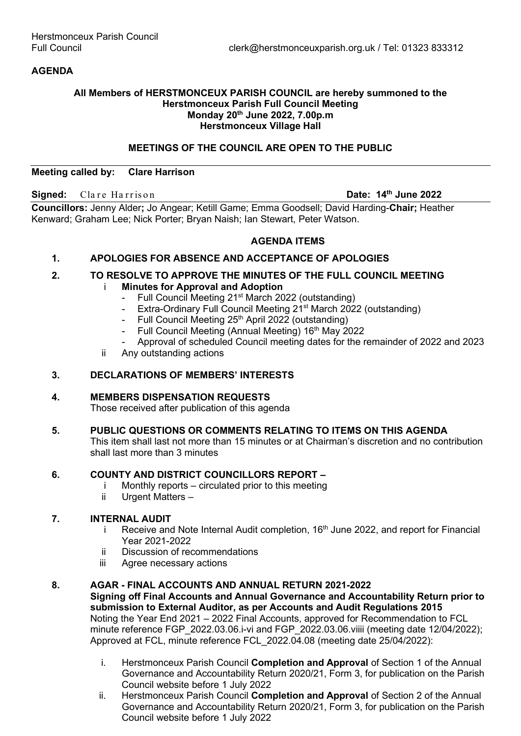#### **AGENDA**

#### **All Members of HERSTMONCEUX PARISH COUNCIL are hereby summoned to the Herstmonceux Parish Full Council Meeting Monday 20th June 2022, 7.00p.m Herstmonceux Village Hall**

#### **MEETINGS OF THE COUNCIL ARE OPEN TO THE PUBLIC**

#### **Meeting called by: Clare Harrison**

#### **Signed:** Clare Harrison **Date: 14<sup>th</sup> June 2022**

**Councillors:** Jenny Alder**;** Jo Angear; Ketill Game; Emma Goodsell; David Harding-**Chair;** Heather Kenward; Graham Lee; Nick Porter; Bryan Naish; Ian Stewart, Peter Watson.

#### **AGENDA ITEMS**

#### **1. APOLOGIES FOR ABSENCE AND ACCEPTANCE OF APOLOGIES**

# **2. TO RESOLVE TO APPROVE THE MINUTES OF THE FULL COUNCIL MEETING**

- **Minutes for Approval and Adoption** 
	- Full Council Meeting 21<sup>st</sup> March 2022 (outstanding)
	- Extra-Ordinary Full Council Meeting 21<sup>st</sup> March 2022 (outstanding)
	- Full Council Meeting 25<sup>th</sup> April 2022 (outstanding)
	- Full Council Meeting (Annual Meeting) 16<sup>th</sup> May 2022
	- Approval of scheduled Council meeting dates for the remainder of 2022 and 2023
- ii Any outstanding actions

#### **3. DECLARATIONS OF MEMBERS' INTERESTS**

#### **4. MEMBERS DISPENSATION REQUESTS**

Those received after publication of this agenda

# **5. PUBLIC QUESTIONS OR COMMENTS RELATING TO ITEMS ON THIS AGENDA**

This item shall last not more than 15 minutes or at Chairman's discretion and no contribution shall last more than 3 minutes

# **6. COUNTY AND DISTRICT COUNCILLORS REPORT –**

- i Monthly reports circulated prior to this meeting
- ii Urgent Matters –

# **7. INTERNAL AUDIT**

- i Receive and Note Internal Audit completion,  $16<sup>th</sup>$  June 2022, and report for Financial Year 2021-2022
- ii Discussion of recommendations
- iii Agree necessary actions

# **8. AGAR - FINAL ACCOUNTS AND ANNUAL RETURN 2021-2022**

**Signing off Final Accounts and Annual Governance and Accountability Return prior to submission to External Auditor, as per Accounts and Audit Regulations 2015** Noting the Year End 2021 – 2022 Final Accounts, approved for Recommendation to FCL minute reference FGP\_2022.03.06.i-vi and FGP\_2022.03.06.viiii (meeting date 12/04/2022); Approved at FCL, minute reference FCL\_2022.04.08 (meeting date 25/04/2022):

- i. Herstmonceux Parish Council **Completion and Approval** of Section 1 of the Annual Governance and Accountability Return 2020/21, Form 3, for publication on the Parish Council website before 1 July 2022
- ii. Herstmonceux Parish Council **Completion and Approval** of Section 2 of the Annual Governance and Accountability Return 2020/21, Form 3, for publication on the Parish Council website before 1 July 2022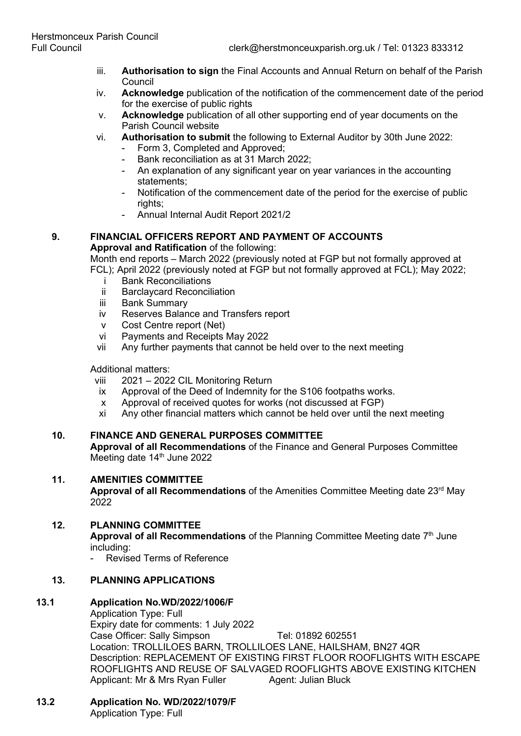- iii. **Authorisation to sign** the Final Accounts and Annual Return on behalf of the Parish **Council**
- iv. **Acknowledge** publication of the notification of the commencement date of the period for the exercise of public rights
- v. **Acknowledge** publication of all other supporting end of year documents on the Parish Council website
- vi. **Authorisation to submit** the following to External Auditor by 30th June 2022:
	- Form 3, Completed and Approved;
		- Bank reconciliation as at 31 March 2022;
		- An explanation of any significant year on year variances in the accounting statements;
		- Notification of the commencement date of the period for the exercise of public rights:
		- Annual Internal Audit Report 2021/2

#### **9. FINANCIAL OFFICERS REPORT AND PAYMENT OF ACCOUNTS Approval and Ratification** of the following:

Month end reports – March 2022 (previously noted at FGP but not formally approved at FCL); April 2022 (previously noted at FGP but not formally approved at FCL); May 2022;

- i Bank Reconciliations
- ii Barclaycard Reconciliation
- iii Bank Summary
- iv Reserves Balance and Transfers report
- v Cost Centre report (Net)
- vi Payments and Receipts May 2022
- vii Any further payments that cannot be held over to the next meeting

Additional matters:

- viii 2021 2022 CIL Monitoring Return
- ix Approval of the Deed of Indemnity for the S106 footpaths works.
- x Approval of received quotes for works (not discussed at FGP)
- xi Any other financial matters which cannot be held over until the next meeting

# **10. FINANCE AND GENERAL PURPOSES COMMITTEE**

**Approval of all Recommendations** of the Finance and General Purposes Committee Meeting date 14<sup>th</sup> June 2022

# **11. AMENITIES COMMITTEE**

Approval of all Recommendations of the Amenities Committee Meeting date 23<sup>rd</sup> May 2022

# **12. PLANNING COMMITTEE**

**Approval of all Recommendations** of the Planning Committee Meeting date 7th June including:

Revised Terms of Reference

# **13. PLANNING APPLICATIONS**

# **13.1 Application No.WD/2022/1006/F**

Application Type: Full Expiry date for comments: 1 July 2022 Case Officer: Sally Simpson Tel: 01892 602551 Location: TROLLILOES BARN, TROLLILOES LANE, HAILSHAM, BN27 4QR Description: REPLACEMENT OF EXISTING FIRST FLOOR ROOFLIGHTS WITH ESCAPE ROOFLIGHTS AND REUSE OF SALVAGED ROOFLIGHTS ABOVE EXISTING KITCHEN Applicant: Mr & Mrs Ryan Fuller Agent: Julian Bluck

# **13.2 Application No. WD/2022/1079/F**

Application Type: Full